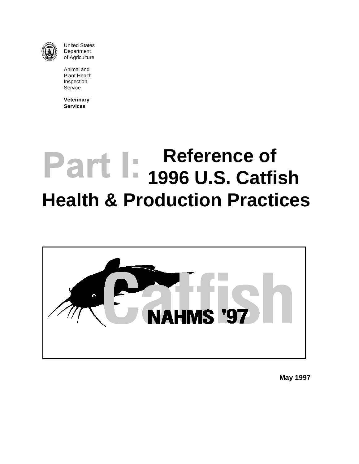

United States **Department** of Agriculture

Animal and Plant Health Inspection Service

**Veterinary Services**

# **Reference of 1996 U.S. Catfish Health & Production Practices**



**May 1997**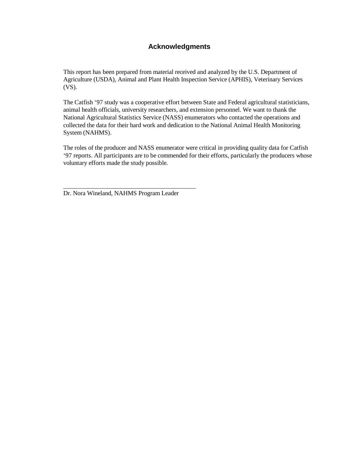#### **Acknowledgments**

This report has been prepared from material received and analyzed by the U.S. Department of Agriculture (USDA), Animal and Plant Health Inspection Service (APHIS), Veterinary Services (VS).

The Catfish '97 study was a cooperative effort between State and Federal agricultural statisticians, animal health officials, university researchers, and extension personnel. We want to thank the National Agricultural Statistics Service (NASS) enumerators who contacted the operations and collected the data for their hard work and dedication to the National Animal Health Monitoring System (NAHMS).

The roles of the producer and NASS enumerator were critical in providing quality data for Catfish '97 reports. All participants are to be commended for their efforts, particularly the producers whose voluntary efforts made the study possible.

Dr. Nora Wineland, NAHMS Program Leader

\_\_\_\_\_\_\_\_\_\_\_\_\_\_\_\_\_\_\_\_\_\_\_\_\_\_\_\_\_\_\_\_\_\_\_\_\_\_\_\_\_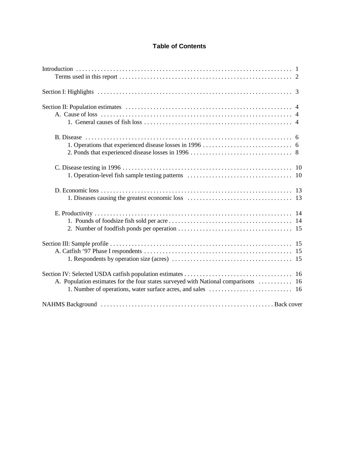#### **Table of Contents**

| A. Population estimates for the four states surveyed with National comparisons  16 |  |
|------------------------------------------------------------------------------------|--|
|                                                                                    |  |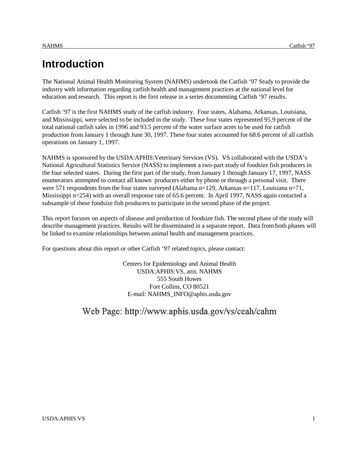The National Animal Health Monitoring System (NAHMS) undertook the Catfish '97 Study to provide the industry with information regarding catfish health and management practices at the national level for education and research. This report is the first release in a series documenting Catfish '97 results.

Catfish '97 is the first NAHMS study of the catfish industry. Four states, Alabama, Arkansas, Louisiana, and Mississippi, were selected to be included in the study. These four states represented 95.9 percent of the total national catfish sales in 1996 and 93.5 percent of the water surface acres to be used for catfish production from January 1 through June 30, 1997. These four states accounted for 68.6 percent of all catfish operations on January 1, 1997.

NAHMS is sponsored by the USDA:APHIS:Veterinary Services (VS). VS collaborated with the USDA's National Agricultural Statistics Service (NASS) to implement a two-part study of foodsize fish producers in the four selected states. During the first part of the study, from January 1 through January 17, 1997, NASS enumerators attempted to contact all known producers either by phone or through a personal visit. There were 571 respondents from the four states surveyed (Alabama n=129, Arkansas n=117, Louisiana n=71, Mississippi n=254) with an overall response rate of 65.6 percent. In April 1997, NASS again contacted a subsample of these foodsize fish producers to participate in the second phase of the project.

This report focuses on aspects of disease and production of foodsize fish. The second phase of the study will describe management practices. Results will be disseminated in a separate report. Data from both phases will be linked to examine relationships between animal health and management practices.

For questions about this report or other Catfish '97 related topics, please contact:

Centers for Epidemiology and Animal Health USDA:APHIS:VS, attn. NAHMS 555 South Howes Fort Collins, CO 80521 E-mail: NAHMS\_INFO@aphis.usda.gov

### Web Page: http://www.aphis.usda.gov/vs/ceah/cahm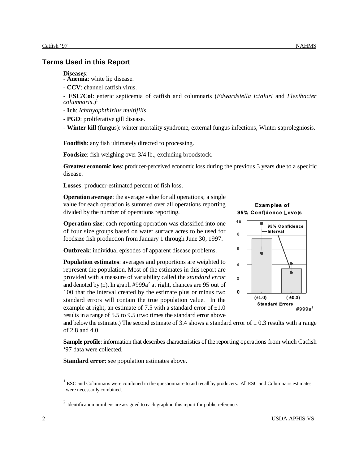#### **Terms Used in this Report**

- **Diseases**: **Anemia**: white lip disease.
- **CCV**: channel catfish virus.
- **ESC/Col**: enteric septicemia of catfish and columnaris (*Edwardsiella ictaluri* and *Flexibacter columnaris.*)<sup>1</sup>
- **Ich**: *Ichthyophthirius multifilis*.
- **PGD**: proliferative gill disease.
- **Winter kill** (fungus): winter mortality syndrome, external fungus infections, Winter saprolegniosis.

**Foodfish**: any fish ultimately directed to processing.

**Foodsize**: fish weighing over 3/4 lb., excluding broodstock.

**Greatest economic loss**: producer-perceived economic loss during the previous 3 years due to a specific disease.

**Losses**: producer-estimated percent of fish loss.

**Operation average:** the average value for all operations; a single value for each operation is summed over all operations reporting divided by the number of operations reporting.

**Operation size**: each reporting operation was classified into one of four size groups based on water surface acres to be used for foodsize fish production from January 1 through June 30, 1997.

**Outbreak**: individual episodes of apparent disease problems.

**Population estimates**: averages and proportions are weighted to represent the population. Most of the estimates in this report are provided with a measure of variability called the *standard error* and denoted by  $(\pm)$ . In graph #999a<sup>2</sup> at right, chances are 95 out of 100 that the interval created by the estimate plus or minus two standard errors will contain the true population value. In the example at right, an estimate of 7.5 with a standard error of  $\pm 1.0$ results in a range of 5.5 to 9.5 (two times the standard error above





and below the estimate.) The second estimate of 3.4 shows a standard error of  $\pm$  0.3 results with a range of 2.8 and 4.0.

**Sample profile**: information that describes characteristics of the reporting operations from which Catfish '97 data were collected.

**Standard error**: see population estimates above.

 $1$  ESC and Columnaris were combined in the questionnaire to aid recall by producers. All ESC and Columnaris estimates were necessarily combined.

 $2$  Identification numbers are assigned to each graph in this report for public reference.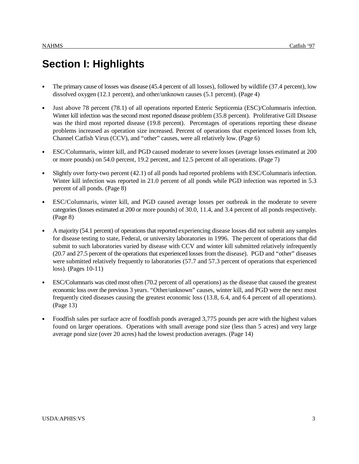## **Section I: Highlights**

- The primary cause of losses was disease (45.4 percent of all losses), followed by wildlife (37.4 percent), low dissolved oxygen (12.1 percent), and other/unknown causes (5.1 percent). (Page 4)
- Just above 78 percent (78.1) of all operations reported Enteric Septicemia (ESC)/Columnaris infection. Winter kill infection was the second most reported disease problem (35.8 percent). Proliferative Gill Disease was the third most reported disease (19.8 percent). Percentages of operations reporting these disease problems increased as operation size increased. Percent of operations that experienced losses from Ich, Channel Catfish Virus (CCV), and "other" causes, were all relatively low. (Page 6)
- ESC/Columnaris, winter kill, and PGD caused moderate to severe losses (average losses estimated at 200 or more pounds) on 54.0 percent, 19.2 percent, and 12.5 percent of all operations. (Page 7)
- Slightly over forty-two percent (42.1) of all ponds had reported problems with ESC/Columnaris infection. Winter kill infection was reported in 21.0 percent of all ponds while PGD infection was reported in 5.3 percent of all ponds. (Page 8)
- ESC/Columnaris, winter kill, and PGD caused average losses per outbreak in the moderate to severe categories (losses estimated at 200 or more pounds) of 30.0, 11.4, and 3.4 percent of all ponds respectively. (Page 8)
- A majority (54.1 percent) of operations that reported experiencing disease losses did not submit any samples for disease testing to state, Federal, or university laboratories in 1996. The percent of operations that did submit to such laboratories varied by disease with CCV and winter kill submitted relatively infrequently (20.7 and 27.5 percent of the operations that experienced losses from the disease). PGD and "other" diseases were submitted relatively frequently to laboratories (57.7 and 57.3 percent of operations that experienced loss). (Pages 10-11)
- ESC/Columnaris was cited most often (70.2 percent of all operations) as the disease that caused the greatest economic loss over the previous 3 years. "Other/unknown" causes, winter kill, and PGD were the next most frequently cited diseases causing the greatest economic loss (13.8, 6.4, and 6.4 percent of all operations). (Page 13)
- Foodfish sales per surface acre of foodfish ponds averaged 3,775 pounds per acre with the highest values found on larger operations. Operations with small average pond size (less than 5 acres) and very large average pond size (over 20 acres) had the lowest production averages. (Page 14)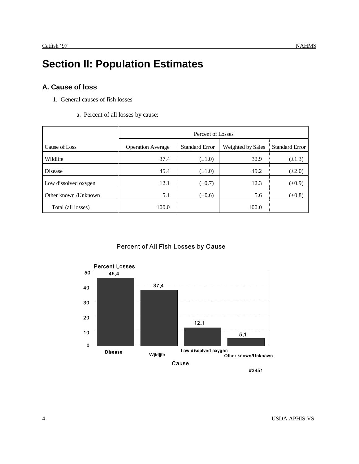## **Section II: Population Estimates**

#### **A. Cause of loss**

- 1. General causes of fish losses
	- a. Percent of all losses by cause:

|                      |                          | Percent of Losses     |                   |                       |  |  |  |  |  |  |  |  |
|----------------------|--------------------------|-----------------------|-------------------|-----------------------|--|--|--|--|--|--|--|--|
| Cause of Loss        | <b>Operation Average</b> | <b>Standard Error</b> | Weighted by Sales | <b>Standard Error</b> |  |  |  |  |  |  |  |  |
| Wildlife             | 37.4                     | $(\pm 1.0)$           | 32.9              | $(\pm 1.3)$           |  |  |  |  |  |  |  |  |
| <b>Disease</b>       | 45.4                     | $(\pm 1.0)$           | 49.2              | $(\pm 2.0)$           |  |  |  |  |  |  |  |  |
| Low dissolved oxygen | 12.1                     | $(\pm 0.7)$           | 12.3              | $(\pm 0.9)$           |  |  |  |  |  |  |  |  |
| Other known /Unknown | 5.1                      | $(\pm 0.6)$           | 5.6               | $(\pm 0.8)$           |  |  |  |  |  |  |  |  |
| Total (all losses)   | 100.0                    |                       | 100.0             |                       |  |  |  |  |  |  |  |  |

#### Percent of All Fish Losses by Cause



#3451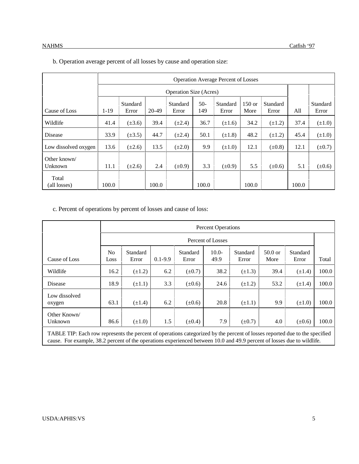|                         |        |                   |       | <b>Operation Size (Acres)</b> |              |                   |                  |                          |       |                   |
|-------------------------|--------|-------------------|-------|-------------------------------|--------------|-------------------|------------------|--------------------------|-------|-------------------|
| Cause of Loss           | $1-19$ | Standard<br>Error | 20-49 | Standard<br>Error             | $50-$<br>149 | Standard<br>Error | $150$ or<br>More | <b>Standard</b><br>Error | All   | Standard<br>Error |
| Wildlife                | 41.4   | $(\pm 3.6)$       | 39.4  | $(\pm 2.4)$                   | 36.7         | $(\pm 1.6)$       | 34.2             | $(\pm 1.2)$              | 37.4  | $(\pm 1.0)$       |
| <b>Disease</b>          | 33.9   | $(\pm 3.5)$       | 44.7  | $(\pm 2.4)$                   | 50.1         | $(\pm 1.8)$       | 48.2             | $(\pm 1.2)$              | 45.4  | $(\pm 1.0)$       |
| Low dissolved oxygen    | 13.6   | $(\pm 2.6)$       | 13.5  | $(\pm 2.0)$                   | 9.9          | $(\pm 1.0)$       | 12.1             | $(\pm 0.8)$              | 12.1  | $(\pm 0.7)$       |
| Other known/<br>Unknown | 11.1   | $(\pm 2.6)$       | 2.4   | $(\pm 0.9)$                   | 3.3          | $(\pm 0.9)$       | 5.5              | $(\pm 0.6)$              | 5.1   | $(\pm 0.6)$       |
| Total<br>(all losses)   | 100.0  |                   | 100.0 |                               | 100.0        |                   | 100.0            |                          | 100.0 |                   |

#### b. Operation average percent of all losses by cause and operation size:

c. Percent of operations by percent of losses and cause of loss:

|                                                                                                                           |             |                   |             |                   | <b>Percent Operations</b> |                   |                   |                   |       |
|---------------------------------------------------------------------------------------------------------------------------|-------------|-------------------|-------------|-------------------|---------------------------|-------------------|-------------------|-------------------|-------|
|                                                                                                                           |             |                   |             |                   | Percent of Losses         |                   |                   |                   |       |
| Cause of Loss                                                                                                             | No.<br>Loss | Standard<br>Error | $0.1 - 9.9$ | Standard<br>Error | $10.0-$<br>49.9           | Standard<br>Error | $50.0$ or<br>More | Standard<br>Error | Total |
| Wildlife                                                                                                                  | 16.2        | $(\pm 1.2)$       | 6.2         | $(\pm 0.7)$       | 38.2                      | $(\pm 1.3)$       | 39.4              | $(\pm 1.4)$       | 100.0 |
| Disease                                                                                                                   | 18.9        | $(\pm 1.1)$       | 3.3         | $(\pm 0.6)$       | 24.6                      | $(\pm 1.2)$       | 53.2              | $(\pm 1.4)$       | 100.0 |
| Low dissolved<br>oxygen                                                                                                   | 63.1        | $(\pm 1.4)$       | 6.2         | $(\pm 0.6)$       | 20.8                      | $(\pm 1.1)$       | 9.9               | $(\pm 1.0)$       | 100.0 |
| Other Known<br>Unknown                                                                                                    | 86.6        | $(\pm 1.0)$       | 1.5         | $(\pm 0.4)$       | 7.9                       | $(\pm 0.7)$       | 4.0               | $(\pm 0.6)$       | 100.0 |
| TADI E TID. Each row represents the person of eperging estegerized by the persont of losses reported due to the specified |             |                   |             |                   |                           |                   |                   |                   |       |

TABLE TIP: Each row represents the percent of operations categorized by the percent of losses reported due to the specified cause. For example, 38.2 percent of the operations experienced between 10.0 and 49.9 percent of losses due to wildlife.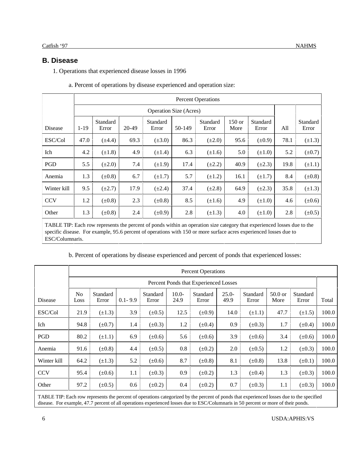#### **B. Disease**

1. Operations that experienced disease losses in 1996

|             |          | <b>Percent Operations</b> |       |                               |        |                   |                  |                   |      |                   |  |  |  |  |
|-------------|----------|---------------------------|-------|-------------------------------|--------|-------------------|------------------|-------------------|------|-------------------|--|--|--|--|
|             |          |                           |       | <b>Operation Size (Acres)</b> |        |                   |                  |                   |      |                   |  |  |  |  |
| Disease     | $1 - 19$ | Standard<br>Error         | 20-49 | Standard<br>Error             | 50-149 | Standard<br>Error | $150$ or<br>More | Standard<br>Error | All  | Standard<br>Error |  |  |  |  |
| ESC/Col     | 47.0     | $(\pm 4.4)$               | 69.3  | $(\pm 3.0)$                   | 86.3   | $(\pm 2.0)$       | 95.6             | $(\pm 0.9)$       | 78.1 | $(\pm 1.3)$       |  |  |  |  |
| Ich         | 4.2      | $(\pm 1.8)$               | 4.9   | $(\pm 1.4)$                   | 6.3    | $(\pm 1.6)$       | 5.0              | $(\pm 1.0)$       | 5.2  | $(\pm 0.7)$       |  |  |  |  |
| PGD         | 5.5      | $(\pm 2.0)$               | 7.4   | $(\pm 1.9)$                   | 17.4   | $(\pm 2.2)$       | 40.9             | $(\pm 2.3)$       | 19.8 | $(\pm 1.1)$       |  |  |  |  |
| Anemia      | 1.3      | $(\pm 0.8)$               | 6.7   | $(\pm 1.7)$                   | 5.7    | $(\pm 1.2)$       | 16.1             | $(\pm 1.7)$       | 8.4  | $(\pm 0.8)$       |  |  |  |  |
| Winter kill | 9.5      | $(\pm 2.7)$               | 17.9  | $(\pm 2.4)$                   | 37.4   | $(\pm 2.8)$       | 64.9             | $(\pm 2.3)$       | 35.8 | $(\pm 1.3)$       |  |  |  |  |
| <b>CCV</b>  | 1.2      | $(\pm 0.8)$               | 2.3   | $(\pm 0.8)$                   | 8.5    | $(\pm 1.6)$       | 4.9              | $(\pm 1.0)$       | 4.6  | $(\pm 0.6)$       |  |  |  |  |
| Other       | 1.3      | $(\pm 0.8)$               | 2.4   | $(\pm 0.9)$                   | 2.8    | $(\pm 1.3)$       | 4.0              | $(\pm 1.0)$       | 2.8  | $(\pm 0.5)$       |  |  |  |  |

a. Percent of operations by disease experienced and operation size:

TABLE TIP: Each row represents the percent of ponds within an operation size category that experienced losses due to the specific disease. For example, 95.6 percent of operations with 150 or more surface acres experienced losses due to ESC/Columnaris.

|  |  |  |  | b. Percent of operations by disease experienced and percent of ponds that experienced losses: |  |  |  |  |  |  |  |  |  |  |  |  |  |
|--|--|--|--|-----------------------------------------------------------------------------------------------|--|--|--|--|--|--|--|--|--|--|--|--|--|
|--|--|--|--|-----------------------------------------------------------------------------------------------|--|--|--|--|--|--|--|--|--|--|--|--|--|

|                |                        |                   |             |                   |                 | <b>Percent Operations</b>             |                  |                   |                   |                   |       |
|----------------|------------------------|-------------------|-------------|-------------------|-----------------|---------------------------------------|------------------|-------------------|-------------------|-------------------|-------|
|                |                        |                   |             |                   |                 | Percent Ponds that Experienced Losses |                  |                   |                   |                   |       |
| <b>Disease</b> | N <sub>0</sub><br>Loss | Standard<br>Error | $0.1 - 9.9$ | Standard<br>Error | $10.0-$<br>24.9 | Standard<br>Error                     | $25.0 -$<br>49.9 | Standard<br>Error | $50.0$ or<br>More | Standard<br>Error | Total |
| ESC/Col        | 21.9                   | $(\pm 1.3)$       | 3.9         | $(\pm 0.5)$       | 12.5            | $(\pm 0.9)$                           | 14.0             | $(\pm 1.1)$       | 47.7              | $(\pm 1.5)$       | 100.0 |
| Ich            | 94.8                   | $(\pm 0.7)$       | 1.4         | $(\pm 0.3)$       | 1.2             | $(\pm 0.4)$                           | 0.9              | $(\pm 0.3)$       | 1.7               | $(\pm 0.4)$       | 100.0 |
| PGD            | 80.2                   | $(\pm 1.1)$       | 6.9         | $(\pm 0.6)$       | 5.6             | $(\pm 0.6)$                           | 3.9              | $(\pm 0.6)$       | 3.4               | $(\pm 0.6)$       | 100.0 |
| Anemia         | 91.6                   | $(\pm 0.8)$       | 4.4         | $(\pm 0.5)$       | 0.8             | $(\pm 0.2)$                           | 2.0              | $(\pm 0.5)$       | 1.2               | $(\pm 0.3)$       | 100.0 |
| Winter kill    | 64.2                   | $(\pm 1.3)$       | 5.2         | $(\pm 0.6)$       | 8.7             | $(\pm 0.8)$                           | 8.1              | $(\pm 0.8)$       | 13.8              | $(\pm 0.1)$       | 100.0 |
| <b>CCV</b>     | 95.4                   | $(\pm 0.6)$       | 1.1         | $(\pm 0.3)$       | 0.9             | $(\pm 0.2)$                           | 1.3              | $(\pm 0.4)$       | 1.3               | $(\pm 0.3)$       | 100.0 |
| Other          | 97.2                   | $(\pm 0.5)$       | 0.6         | $(\pm 0.2)$       | 0.4             | $(\pm 0.2)$                           | 0.7              | $(\pm 0.3)$       | $1.1\,$           | $(\pm 0.3)$       | 100.0 |
|                |                        |                   |             |                   |                 |                                       |                  |                   |                   |                   |       |

TABLE TIP: Each row represents the percent of operations categorized by the percent of ponds that experienced losses due to the specified disease. For example, 47.7 percent of all operations experienced losses due to ESC/Columnaris in 50 percent or more of their ponds.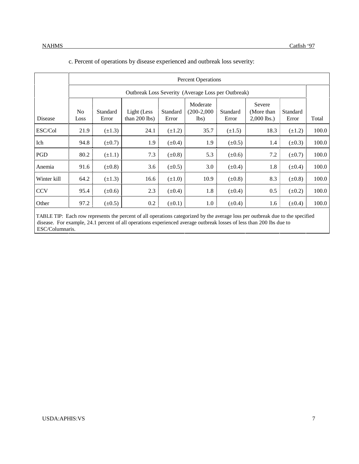| c. Percent of operations by disease experienced and outbreak loss severity: |  |  |
|-----------------------------------------------------------------------------|--|--|
|                                                                             |  |  |

|             |            |                   |                                                    |                   | <b>Percent Operations</b>         |                   |                                       |                   |       |
|-------------|------------|-------------------|----------------------------------------------------|-------------------|-----------------------------------|-------------------|---------------------------------------|-------------------|-------|
|             |            |                   | Outbreak Loss Severity (Average Loss per Outbreak) |                   |                                   |                   |                                       |                   |       |
| Disease     | No<br>Loss | Standard<br>Error | Light (Less<br>than $200$ lbs)                     | Standard<br>Error | Moderate<br>$(200-2,000)$<br>lbs) | Standard<br>Error | Severe<br>(More than<br>$2,000$ lbs.) | Standard<br>Error | Total |
| ESC/Col     | 21.9       | $(\pm 1.3)$       | 24.1                                               | $(\pm 1.2)$       | 35.7                              | $(\pm 1.5)$       | 18.3                                  | $(\pm 1.2)$       | 100.0 |
| Ich         | 94.8       | $(\pm 0.7)$       | 1.9                                                | $(\pm 0.4)$       | 1.9                               | $(\pm 0.5)$       | 1.4                                   | $(\pm 0.3)$       | 100.0 |
| <b>PGD</b>  | 80.2       | $(\pm 1.1)$       | 7.3                                                | $(\pm 0.8)$       | 5.3                               | $(\pm 0.6)$       | 7.2                                   | $(\pm 0.7)$       | 100.0 |
| Anemia      | 91.6       | $(\pm 0.8)$       | 3.6                                                | $(\pm 0.5)$       | 3.0                               | $(\pm 0.4)$       | 1.8                                   | $(\pm 0.4)$       | 100.0 |
| Winter kill | 64.2       | $(\pm 1.3)$       | 16.6                                               | $(\pm 1.0)$       | 10.9                              | $(\pm 0.8)$       | 8.3                                   | $(\pm 0.8)$       | 100.0 |
| <b>CCV</b>  | 95.4       | $(\pm 0.6)$       | 2.3                                                | $(\pm 0.4)$       | 1.8                               | $(\pm 0.4)$       | 0.5                                   | $(\pm 0.2)$       | 100.0 |
| Other       | 97.2       | $(\pm 0.5)$       | 0.2                                                | $(\pm 0.1)$       | 1.0                               | $(\pm 0.4)$       | 1.6                                   | $(\pm 0.4)$       | 100.0 |

TABLE TIP: Each row represents the percent of all operations categorized by the average loss per outbreak due to the specified disease. For example, 24.1 percent of all operations experienced average outbreak losses of less than 200 lbs due to ESC/Columnaris.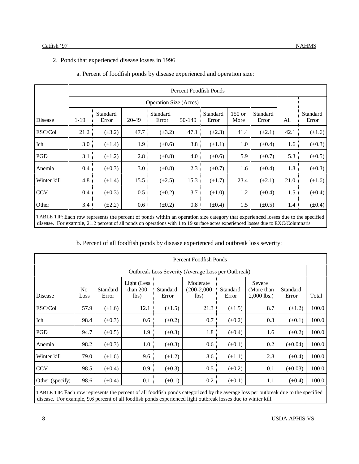#### 2. Ponds that experienced disease losses in 1996

|                |      |                   |         |                               |        | Percent Foodfish Ponds |                |                   |      |                   |
|----------------|------|-------------------|---------|-------------------------------|--------|------------------------|----------------|-------------------|------|-------------------|
|                |      |                   |         | <b>Operation Size (Acres)</b> |        |                        |                |                   |      |                   |
| <b>Disease</b> | 1-19 | Standard<br>Error | 20-49   | Standard<br>Error             | 50-149 | Standard<br>Error      | 150 or<br>More | Standard<br>Error | All  | Standard<br>Error |
| ESC/Col        | 21.2 | $(\pm 3.2)$       | 47.7    | $(\pm 3.2)$                   | 47.1   | $(\pm 2.3)$            | 41.4           | $(\pm 2.1)$       | 42.1 | $(\pm 1.6)$       |
| Ich            | 3.0  | $(\pm 1.4)$       | 1.9     | $(\pm 0.6)$                   | 3.8    | $(\pm 1.1)$            | 1.0            | $(\pm 0.4)$       | 1.6  | $(\pm 0.3)$       |
| PGD            | 3.1  | $(\pm 1.2)$       | 2.8     | $(\pm 0.8)$                   | 4.0    | $(\pm 0.6)$            | 5.9            | $(\pm 0.7)$       | 5.3  | $(\pm 0.5)$       |
| Anemia         | 0.4  | $(\pm 0.3)$       | 3.0     | $(\pm 0.8)$                   | 2.3    | $(\pm 0.7)$            | 1.6            | $(\pm 0.4)$       | 1.8  | $(\pm 0.3)$       |
| Winter kill    | 4.8  | $(\pm 1.4)$       | 15.5    | $(\pm 2.5)$                   | 15.3   | $(\pm 1.7)$            | 23.4           | $(\pm 2.1)$       | 21.0 | $(\pm 1.6)$       |
| <b>CCV</b>     | 0.4  | $(\pm 0.3)$       | 0.5     | $(\pm 0.2)$                   | 3.7    | $(\pm 1.0)$            | 1.2            | $(\pm 0.4)$       | 1.5  | $(\pm 0.4)$       |
| Other          | 3.4  | $(\pm 2.2)$       | $0.6\,$ | $(\pm 0.2)$                   | 0.8    | $(\pm 0.4)$            | 1.5            | $(\pm 0.5)$       | 1.4  | $(\pm 0.4)$       |
|                |      |                   |         |                               |        |                        |                |                   |      |                   |

#### a. Percent of foodfish ponds by disease experienced and operation size:

TABLE TIP: Each row represents the percent of ponds within an operation size category that experienced losses due to the specified disease. For example, 21.2 percent of all ponds on operations with 1 to 19 surface acres experienced losses due to EXC/Columnaris.

#### b. Percent of all foodfish ponds by disease experienced and outbreak loss severity:

|                 |            |                   |                                   |                   | Percent Foodfish Ponds                             |                   |                                       |                   |       |
|-----------------|------------|-------------------|-----------------------------------|-------------------|----------------------------------------------------|-------------------|---------------------------------------|-------------------|-------|
|                 |            |                   |                                   |                   | Outbreak Loss Severity (Average Loss per Outbreak) |                   |                                       |                   |       |
| Disease         | No<br>Loss | Standard<br>Error | Light (Less<br>than $200$<br>lbs) | Standard<br>Error | Moderate<br>$(200-2,000)$<br>lbs)                  | Standard<br>Error | Severe<br>(More than<br>$2,000$ lbs.) | Standard<br>Error | Total |
| ESC/Col         | 57.9       | $(\pm 1.6)$       | 12.1                              | $(\pm 1.5)$       | 21.3                                               | $(\pm 1.5)$       | 8.7                                   | $(\pm 1.2)$       | 100.0 |
| Ich             | 98.4       | $(\pm 0.3)$       | 0.6                               | $(\pm 0.2)$       | 0.7                                                | $(\pm 0.2)$       | 0.3                                   | $(\pm 0.1)$       | 100.0 |
| PGD             | 94.7       | $(\pm 0.5)$       | 1.9                               | $(\pm 0.3)$       | 1.8                                                | $(\pm 0.4)$       | 1.6                                   | $(\pm 0.2)$       | 100.0 |
| Anemia          | 98.2       | $(\pm 0.3)$       | 1.0                               | $(\pm 0.3)$       | 0.6                                                | $(\pm 0.1)$       | 0.2                                   | $(\pm 0.04)$      | 100.0 |
| Winter kill     | 79.0       | $(\pm 1.6)$       | 9.6                               | $(\pm 1.2)$       | 8.6                                                | $(\pm 1.1)$       | 2.8                                   | $(\pm 0.4)$       | 100.0 |
| <b>CCV</b>      | 98.5       | $(\pm 0.4)$       | 0.9                               | $(\pm 0.3)$       | 0.5                                                | $(\pm 0.2)$       | 0.1                                   | $(\pm 0.03)$      | 100.0 |
| Other (specify) | 98.6       | $(\pm 0.4)$       | 0.1                               | $(\pm 0.1)$       | 0.2                                                | $(\pm 0.1)$       | 1.1                                   | $(\pm 0.4)$       | 100.0 |

TABLE TIP: Each row represents the percent of all foodfish ponds categorized by the average loss per outbreak due to the specified disease. For example, 9.6 percent of all foodfish ponds experienced light outbreak losses due to winter kill.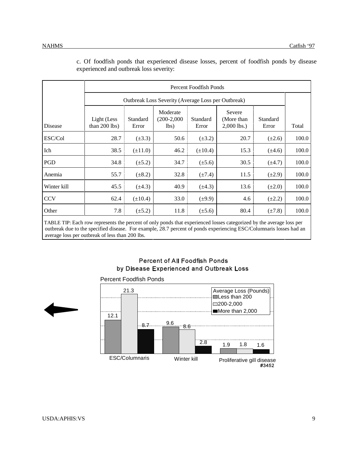|             | Percent Foodfish Ponds         |                   |                                                    |                   |                                        |                   |       |  |  |  |  |  |
|-------------|--------------------------------|-------------------|----------------------------------------------------|-------------------|----------------------------------------|-------------------|-------|--|--|--|--|--|
|             |                                |                   | Outbreak Loss Severity (Average Loss per Outbreak) |                   |                                        |                   |       |  |  |  |  |  |
| Disease     | Light (Less<br>than $200$ lbs) | Standard<br>Error | Moderate<br>$(200-2,000)$<br>lbs)                  | Standard<br>Error | Severe<br>(More than)<br>$2,000$ lbs.) | Standard<br>Error | Total |  |  |  |  |  |
| ESC/Col     | 28.7                           | $(\pm 3.3)$       | 50.6                                               | $(\pm 3.2)$       | 20.7                                   | $(\pm 2.6)$       | 100.0 |  |  |  |  |  |
| Ich         | 38.5                           | $(\pm 11.0)$      | 46.2                                               | $(\pm 10.4)$      | 15.3                                   | $(\pm 4.6)$       | 100.0 |  |  |  |  |  |
| PGD         | 34.8                           | $(\pm 5.2)$       | 34.7                                               | $(\pm 5.6)$       | 30.5                                   | $(\pm 4.7)$       | 100.0 |  |  |  |  |  |
| Anemia      | 55.7                           | $(\pm 8.2)$       | 32.8                                               | $(\pm 7.4)$       | 11.5                                   | $(\pm 2.9)$       | 100.0 |  |  |  |  |  |
| Winter kill | 45.5                           | $(\pm 4.3)$       | 40.9                                               | $(\pm 4.3)$       | 13.6                                   | $(\pm 2.0)$       | 100.0 |  |  |  |  |  |
| <b>CCV</b>  | 62.4                           | $(\pm 10.4)$      | 33.0                                               | $(\pm 9.9)$       | 4.6                                    | $(\pm 2.2)$       | 100.0 |  |  |  |  |  |
| Other       | 7.8                            | $(\pm 5.2)$       | 11.8                                               | $(\pm 5.6)$       | 80.4                                   | $(\pm 7.8)$       | 100.0 |  |  |  |  |  |

c. Of foodfish ponds that experienced disease losses, percent of foodfish ponds by disease experienced and outbreak loss severity:

TABLE TIP: Each row represents the percent of only ponds that experienced losses categorized by the average loss per outbreak due to the specified disease. For example, 28.7 percent of ponds experiencing ESC/Columnaris losses had an average loss per outbreak of less than 200 lbs.

#### **Percent of All Foodfish Ponds** by Disease Experienced and Outbreak Loss



#### Percent Foodfish Ponds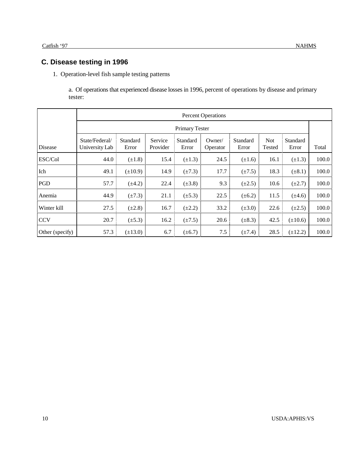1. Operation-level fish sample testing patterns

a. Of operations that experienced disease losses in 1996, percent of operations by disease and primary tester:

|                 | <b>Percent Operations</b>        |                   |                     |                   |                    |                   |                      |                   |       |
|-----------------|----------------------------------|-------------------|---------------------|-------------------|--------------------|-------------------|----------------------|-------------------|-------|
|                 | Primary Tester                   |                   |                     |                   |                    |                   |                      |                   |       |
| Disease         | State/Federal/<br>University Lab | Standard<br>Error | Service<br>Provider | Standard<br>Error | Owner/<br>Operator | Standard<br>Error | <b>Not</b><br>Tested | Standard<br>Error | Total |
| ESC/Col         | 44.0                             | $(\pm 1.8)$       | 15.4                | $(\pm 1.3)$       | 24.5               | $(\pm 1.6)$       | 16.1                 | $(\pm 1.3)$       | 100.0 |
| Ich             | 49.1                             | $(\pm 10.9)$      | 14.9                | $(\pm 7.3)$       | 17.7               | $(\pm 7.5)$       | 18.3                 | $(\pm 8.1)$       | 100.0 |
| PGD             | 57.7                             | $(\pm 4.2)$       | 22.4                | $(\pm 3.8)$       | 9.3                | $(\pm 2.5)$       | 10.6                 | $(\pm 2.7)$       | 100.0 |
| Anemia          | 44.9                             | $(\pm 7.3)$       | 21.1                | $(\pm 5.3)$       | 22.5               | $(\pm 6.2)$       | 11.5                 | $(\pm 4.6)$       | 100.0 |
| Winter kill     | 27.5                             | $(\pm 2.8)$       | 16.7                | $(\pm 2.2)$       | 33.2               | $(\pm 3.0)$       | 22.6                 | $(\pm 2.5)$       | 100.0 |
| <b>CCV</b>      | 20.7                             | $(\pm 5.3)$       | 16.2                | $(\pm 7.5)$       | 20.6               | $(\pm 8.3)$       | 42.5                 | $(\pm 10.6)$      | 100.0 |
| Other (specify) | 57.3                             | $(\pm 13.0)$      | 6.7                 | $(\pm 6.7)$       | 7.5                | $(\pm 7.4)$       | 28.5                 | $(\pm 12.2)$      | 100.0 |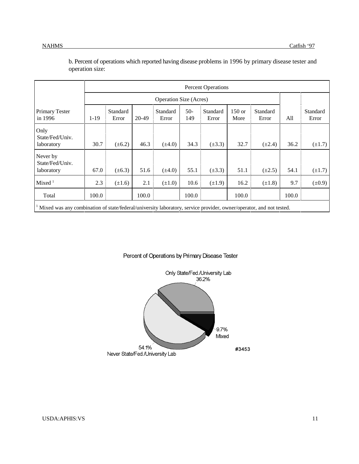|                                                                                                                     | <b>Percent Operations</b> |                               |       |                   |              |                   |                |                   |       |                   |
|---------------------------------------------------------------------------------------------------------------------|---------------------------|-------------------------------|-------|-------------------|--------------|-------------------|----------------|-------------------|-------|-------------------|
|                                                                                                                     |                           | <b>Operation Size (Acres)</b> |       |                   |              |                   |                |                   |       |                   |
| Primary Tester<br>in 1996                                                                                           | $1-19$                    | Standard<br>Error             | 20-49 | Standard<br>Error | $50-$<br>149 | Standard<br>Error | 150 or<br>More | Standard<br>Error | All   | Standard<br>Error |
| Only<br>State/Fed/Univ.<br>laboratory                                                                               | 30.7                      | $(\pm 6.2)$                   | 46.3  | $(\pm 4.0)$       | 34.3         | $(\pm 3.3)$       | 32.7           | $(\pm 2.4)$       | 36.2  | $(\pm 1.7)$       |
| Never by<br>State/Fed/Univ.<br>laboratory                                                                           | 67.0                      | $(\pm 6.3)$                   | 51.6  | $(\pm 4.0)$       | 55.1         | $(\pm 3.3)$       | 51.1           | $(\pm 2.5)$       | 54.1  | $(\pm 1.7)$       |
| Mixed <sup>1</sup>                                                                                                  | 2.3                       | $(\pm 1.6)$                   | 2.1   | $(\pm 1.0)$       | 10.6         | $(\pm 1.9)$       | 16.2           | $(\pm 1.8)$       | 9.7   | $(\pm 0.9)$       |
| Total                                                                                                               | 100.0                     |                               | 100.0 |                   | 100.0        |                   | 100.0          |                   | 100.0 |                   |
| Mixed was any combination of state/federal/university laboratory, service provider, owner/operator, and not tested. |                           |                               |       |                   |              |                   |                |                   |       |                   |

b. Percent of operations which reported having disease problems in 1996 by primary disease tester and operation size:

#### Percent of Operations by Primary Disease Tester

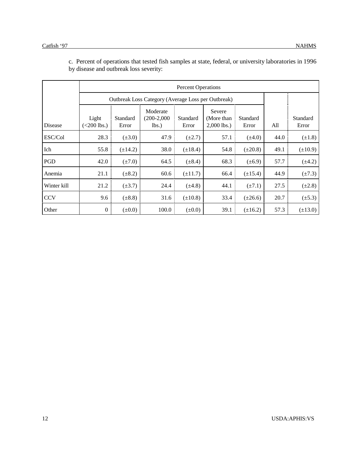|             |                        | Outbreak Loss Category (Average Loss per Outbreak) |                                |                   |                                        |                   |      |                   |  |  |
|-------------|------------------------|----------------------------------------------------|--------------------------------|-------------------|----------------------------------------|-------------------|------|-------------------|--|--|
| Disease     | Light<br>$(<200$ lbs.) | Standard<br>Error                                  | Moderate<br>(200-2,000<br>lbs. | Standard<br>Error | Severe<br>(More than)<br>$2,000$ lbs.) | Standard<br>Error | All  | Standard<br>Error |  |  |
| ESC/Col     | 28.3                   | $(\pm 3.0)$                                        | 47.9                           | $(\pm 2.7)$       | 57.1                                   | $(\pm 4.0)$       | 44.0 | $(\pm 1.8)$       |  |  |
| Ich         | 55.8                   | $(\pm 14.2)$                                       | 38.0                           | $(\pm 18.4)$      | 54.8                                   | $(\pm 20.8)$      | 49.1 | $(\pm 10.9)$      |  |  |
| PGD         | 42.0                   | $(\pm 7.0)$                                        | 64.5                           | $(\pm 8.4)$       | 68.3                                   | $(\pm 6.9)$       | 57.7 | $(\pm 4.2)$       |  |  |
| Anemia      | 21.1                   | $(\pm 8.2)$                                        | 60.6                           | $(\pm 11.7)$      | 66.4                                   | $(\pm 15.4)$      | 44.9 | $(\pm 7.3)$       |  |  |
| Winter kill | 21.2                   | $(\pm 3.7)$                                        | 24.4                           | $(\pm 4.8)$       | 44.1                                   | $(\pm 7.1)$       | 27.5 | $(\pm 2.8)$       |  |  |
| <b>CCV</b>  | 9.6                    | $(\pm 8.8)$                                        | 31.6                           | $(\pm 10.8)$      | 33.4                                   | $(\pm 26.6)$      | 20.7 | $(\pm 5.3)$       |  |  |
| Other       | $\boldsymbol{0}$       | $(\pm 0.0)$                                        | 100.0                          | $(\pm 0.0)$       | 39.1                                   | $(\pm 16.2)$      | 57.3 | $(\pm 13.0)$      |  |  |

c. Percent of operations that tested fish samples at state, federal, or university laboratories in 1996 by disease and outbreak loss severity: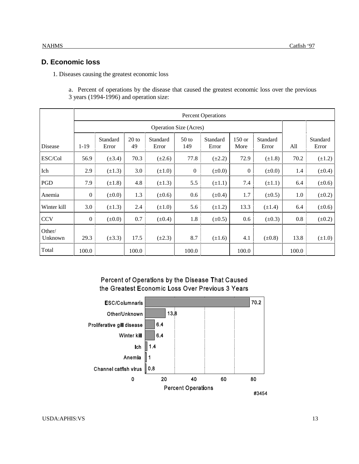#### **D. Economic loss**

1. Diseases causing the greatest economic loss

a. Percent of operations by the disease that caused the greatest economic loss over the previous 3 years (1994-1996) and operation size:

|                   | <b>Percent Operations</b> |                   |               |                   |                               |                   |                |                   |       |                   |
|-------------------|---------------------------|-------------------|---------------|-------------------|-------------------------------|-------------------|----------------|-------------------|-------|-------------------|
|                   |                           |                   |               |                   | <b>Operation Size (Acres)</b> |                   |                |                   |       |                   |
| <b>Disease</b>    | $1-19$                    | Standard<br>Error | $20$ to<br>49 | Standard<br>Error | 50 <sub>to</sub><br>149       | Standard<br>Error | 150 or<br>More | Standard<br>Error | All   | Standard<br>Error |
| ESC/Col           | 56.9                      | $(\pm 3.4)$       | 70.3          | $(\pm 2.6)$       | 77.8                          | $(\pm 2.2)$       | 72.9           | $(\pm 1.8)$       | 70.2  | $(\pm 1.2)$       |
| Ich               | 2.9                       | $(\pm 1.3)$       | 3.0           | $(\pm 1.0)$       | $\boldsymbol{0}$              | $(\pm 0.0)$       | $\overline{0}$ | $(\pm 0.0)$       | 1.4   | $(\pm 0.4)$       |
| PGD               | 7.9                       | $(\pm 1.8)$       | 4.8           | $(\pm 1.3)$       | 5.5                           | $(\pm 1.1)$       | 7.4            | $(\pm 1.1)$       | 6.4   | $(\pm 0.6)$       |
| Anemia            | $\mathbf{0}$              | $(\pm 0.0)$       | 1.3           | $(\pm 0.6)$       | 0.6                           | $(\pm 0.4)$       | 1.7            | $(\pm 0.5)$       | 1.0   | $(\pm 0.2)$       |
| Winter kill       | 3.0                       | $(\pm 1.3)$       | 2.4           | $(\pm 1.0)$       | 5.6                           | $(\pm 1.2)$       | 13.3           | $(\pm 1.4)$       | 6.4   | $(\pm 0.6)$       |
| <b>CCV</b>        | $\boldsymbol{0}$          | $(\pm 0.0)$       | 0.7           | $(\pm 0.4)$       | 1.8                           | $(\pm 0.5)$       | 0.6            | $(\pm 0.3)$       | 0.8   | $(\pm 0.2)$       |
| Other/<br>Unknown | 29.3                      | $(\pm 3.3)$       | 17.5          | $(\pm 2.3)$       | 8.7                           | $(\pm 1.6)$       | 4.1            | $(\pm 0.8)$       | 13.8  | $(\pm 1.0)$       |
| Total             | 100.0                     |                   | 100.0         |                   | 100.0                         |                   | 100.0          |                   | 100.0 |                   |

#### Percent of Operations by the Disease That Caused the Greatest Economic Loss Over Previous 3 Years

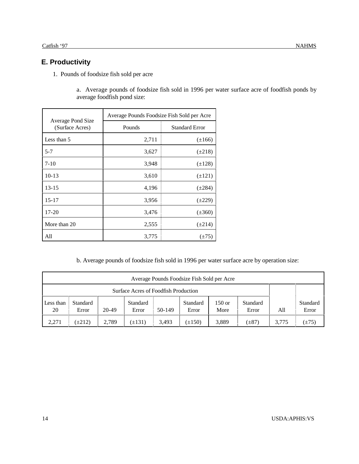### **E. Productivity**

1. Pounds of foodsize fish sold per acre

a. Average pounds of foodsize fish sold in 1996 per water surface acre of foodfish ponds by average foodfish pond size:

|                                      | Average Pounds Foodsize Fish Sold per Acre |                       |  |  |  |
|--------------------------------------|--------------------------------------------|-----------------------|--|--|--|
| Average Pond Size<br>(Surface Acres) | Pounds                                     | <b>Standard Error</b> |  |  |  |
| Less than 5                          | 2,711                                      | $(\pm 166)$           |  |  |  |
| $5 - 7$                              | 3,627                                      | $(\pm 218)$           |  |  |  |
| $7 - 10$                             | 3,948                                      | $(\pm 128)$           |  |  |  |
| $10-13$                              | 3,610                                      | $(\pm 121)$           |  |  |  |
| $13 - 15$                            | 4,196                                      | $(\pm 284)$           |  |  |  |
| $15 - 17$                            | 3,956                                      | $(\pm 229)$           |  |  |  |
| $17 - 20$                            | 3,476                                      | $(\pm 360)$           |  |  |  |
| More than 20                         | 2,555                                      | $(\pm 214)$           |  |  |  |
| All                                  | 3,775                                      | $(\pm 75)$            |  |  |  |

b. Average pounds of foodsize fish sold in 1996 per water surface acre by operation size:

| Average Pounds Foodsize Fish Sold per Acre |                   |       |                   |        |                   |                |                   |       |                   |
|--------------------------------------------|-------------------|-------|-------------------|--------|-------------------|----------------|-------------------|-------|-------------------|
| Surface Acres of Foodfish Production       |                   |       |                   |        |                   |                |                   |       |                   |
| Less than<br>20                            | Standard<br>Error | 20-49 | Standard<br>Error | 50-149 | Standard<br>Error | 150 or<br>More | Standard<br>Error | All   | Standard<br>Error |
| 2,271                                      | $(\pm 212)$       | 2,789 | $\pm 131$         | 3.493  | $(\pm 150)$       | 3,889          | $(\pm 87)$        | 3.775 | $(\pm 75)$        |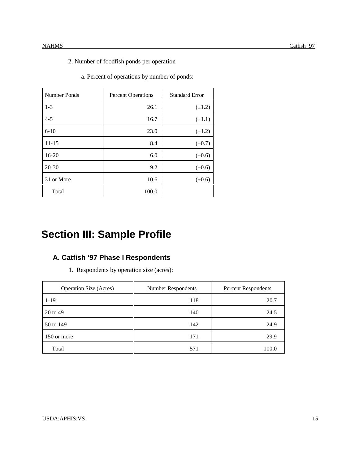- 2. Number of foodfish ponds per operation
	- a. Percent of operations by number of ponds:

| Number Ponds | <b>Percent Operations</b> | <b>Standard Error</b> |
|--------------|---------------------------|-----------------------|
| $1 - 3$      | 26.1                      | $(\pm 1.2)$           |
| $4 - 5$      | 16.7                      | $(\pm 1.1)$           |
| $6 - 10$     | 23.0                      | $(\pm 1.2)$           |
| $11 - 15$    | 8.4                       | $(\pm 0.7)$           |
| $16 - 20$    | 6.0                       | $(\pm 0.6)$           |
| $20 - 30$    | 9.2                       | $(\pm 0.6)$           |
| 31 or More   | 10.6                      | $(\pm 0.6)$           |
| Total        | 100.0                     |                       |

## **Section III: Sample Profile**

### **A. Catfish '97 Phase I Respondents**

1. Respondents by operation size (acres):

| <b>Operation Size (Acres)</b> | <b>Number Respondents</b> | Percent Respondents |
|-------------------------------|---------------------------|---------------------|
| $1 - 19$                      | 118                       | 20.7                |
| 20 to 49                      | 140                       | 24.5                |
| 50 to 149                     | 142                       | 24.9                |
| 150 or more                   | 171                       | 29.9                |
| Total                         | 571                       | 100.0               |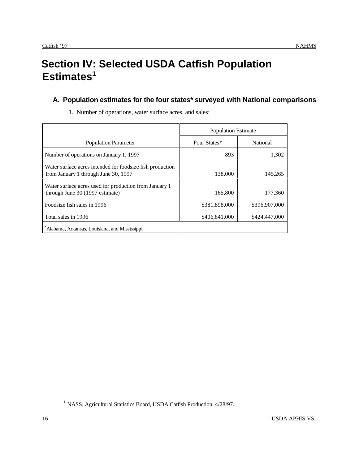## **Section IV: Selected USDA Catfish Population** Estimates<sup>1</sup>

### **A. Population estimates for the four states\* surveyed with National comparisons**

|                                                                                                   | <b>Population Estimate</b> |               |  |
|---------------------------------------------------------------------------------------------------|----------------------------|---------------|--|
| <b>Population Parameter</b>                                                                       | Four States*               | National      |  |
| Number of operations on January 1, 1997                                                           | 893                        | 1,302         |  |
| Water surface acres intended for foodsize fish production<br>from January 1 through June 30, 1997 | 138,000                    | 145,265       |  |
| Water surface acres used for production from January 1<br>through June 30 (1997 estimate)         | 165,800                    | 177,360       |  |
| Foodsize fish sales in 1996                                                                       | \$381,898,000              | \$396,907,000 |  |
| Total sales in 1996                                                                               | \$406,841,000              | \$424,447,000 |  |
| Alabama, Arkansas, Louisiana, and Mississippi.                                                    |                            |               |  |

1. Number of operations, water surface acres, and sales:

<sup>&</sup>lt;sup>1</sup> NASS, Agricultural Statistics Board, USDA Catfish Production, 4/28/97.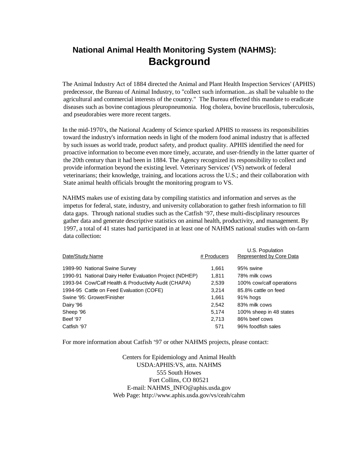### **National Animal Health Monitoring System (NAHMS): Background**

The Animal Industry Act of 1884 directed the Animal and Plant Health Inspection Services' (APHIS) predecessor, the Bureau of Animal Industry, to "collect such information...as shall be valuable to the agricultural and commercial interests of the country." The Bureau effected this mandate to eradicate diseases such as bovine contagious pleuropneumonia. Hog cholera, bovine brucellosis, tuberculosis, and pseudorabies were more recent targets.

In the mid-1970's, the National Academy of Science sparked APHIS to reassess its responsibilities toward the industry's information needs in light of the modern food animal industry that is affected by such issues as world trade, product safety, and product quality. APHIS identified the need for proactive information to become even more timely, accurate, and user-friendly in the latter quarter of the 20th century than it had been in 1884. The Agency recognized its responsibility to collect and provide information beyond the existing level. Veterinary Services' (VS) network of federal veterinarians; their knowledge, training, and locations across the U.S.; and their collaboration with State animal health officials brought the monitoring program to VS.

NAHMS makes use of existing data by compiling statistics and information and serves as the impetus for federal, state, industry, and university collaboration to gather fresh information to fill data gaps. Through national studies such as the Catfish '97, these multi-disciplinary resources gather data and generate descriptive statistics on animal health, productivity, and management. By 1997, a total of 41 states had participated in at least one of NAHMS national studies with on-farm data collection:

| # Producers                                                       | U.S. Population<br>Represented by Core Data |
|-------------------------------------------------------------------|---------------------------------------------|
| 1,661                                                             | 95% swine                                   |
| 1990-91 National Dairy Heifer Evaluation Project (NDHEP)<br>1.811 | 78% milk cows                               |
| 2,539                                                             | 100% cow/calf operations                    |
| 3.214                                                             | 85.8% cattle on feed                        |
| 1.661                                                             | 91% hogs                                    |
| 2,542                                                             | 83% milk cows                               |
| 5,174                                                             | 100% sheep in 48 states                     |
| 2.713                                                             | 86% beef cows                               |
| 571                                                               | 96% foodfish sales                          |
|                                                                   |                                             |

For more information about Catfish '97 or other NAHMS projects, please contact:

Centers for Epidemiology and Animal Health USDA:APHIS:VS, attn. NAHMS 555 South Howes Fort Collins, CO 80521 E-mail: NAHMS\_INFO@aphis.usda.gov Web Page: http://www.aphis.usda.gov/vs/ceah/cahm